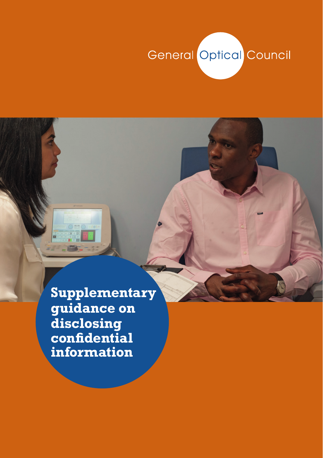### General Optical Council

**Supplementary guidance on disclosing confidential information**

Omc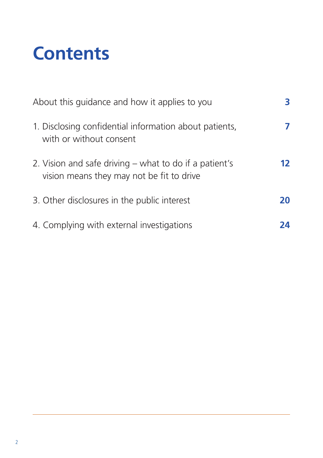# **Contents**

| About this guidance and how it applies to you                                                       |    |
|-----------------------------------------------------------------------------------------------------|----|
| 1. Disclosing confidential information about patients,<br>with or without consent                   |    |
| 2. Vision and safe driving – what to do if a patient's<br>vision means they may not be fit to drive | 12 |
| 3. Other disclosures in the public interest                                                         | 20 |
| 4. Complying with external investigations                                                           | 24 |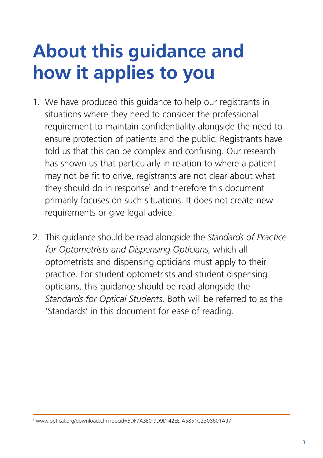# **About this guidance and how it applies to you**

- 1. We have produced this guidance to help our registrants in situations where they need to consider the professional requirement to maintain confidentiality alongside the need to ensure protection of patients and the public. Registrants have told us that this can be complex and confusing. Our research has shown us that particularly in relation to where a patient may not be fit to drive, registrants are not clear about what they should do in response<sup>1</sup> and therefore this document primarily focuses on such situations. It does not create new requirements or give legal advice.
- 2. This guidance should be read alongside the *Standards of Practice for Optometrists and Dispensing Opticians*, which all optometrists and dispensing opticians must apply to their practice. For student optometrists and student dispensing opticians, this guidance should be read alongside the *Standards for Optical Students*. Both will be referred to as the 'Standards' in this document for ease of reading.

1 www.optical.org/download.cfm?docid=5DF7A3E0-9D9D-42EE-A5851C2308601A97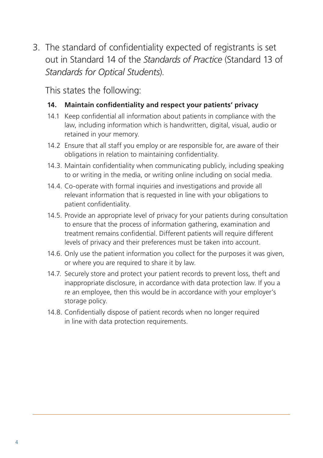3. The standard of confidentiality expected of registrants is set out in Standard 14 of the *Standards of Practice* (Standard 13 of *Standards for Optical Students*).

This states the following:

#### **14. Maintain confidentiality and respect your patients' privacy**

- 14.1 Keep confidential all information about patients in compliance with the law, including information which is handwritten, digital, visual, audio or retained in your memory.
- 14.2 Ensure that all staff you employ or are responsible for, are aware of their obligations in relation to maintaining confidentiality.
- 14.3. Maintain confidentiality when communicating publicly, including speaking to or writing in the media, or writing online including on social media.
- 14.4. Co-operate with formal inquiries and investigations and provide all relevant information that is requested in line with your obligations to patient confidentiality.
- 14.5. Provide an appropriate level of privacy for your patients during consultation to ensure that the process of information gathering, examination and treatment remains confidential. Different patients will require different levels of privacy and their preferences must be taken into account.
- 14.6. Only use the patient information you collect for the purposes it was given, or where you are required to share it by law.
- 14.7. Securely store and protect your patient records to prevent loss, theft and inappropriate disclosure, in accordance with data protection law. If you a re an employee, then this would be in accordance with your employer's storage policy.
- 14.8. Confidentially dispose of patient records when no longer required in line with data protection requirements.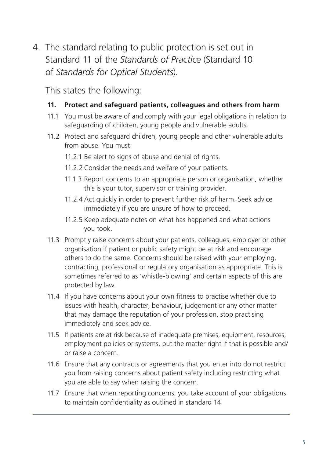4. The standard relating to public protection is set out in Standard 11 of the *Standards of Practice* (Standard 10 of *Standards for Optical Students*).

This states the following:

#### **11. Protect and safeguard patients, colleagues and others from harm**

- 11.1 You must be aware of and comply with your legal obligations in relation to safeguarding of children, young people and vulnerable adults.
- 11.2 Protect and safeguard children, young people and other vulnerable adults from abuse. You must:
	- 11.2.1 Be alert to signs of abuse and denial of rights.
	- 11.2.2 Consider the needs and welfare of your patients.
	- 11.1.3 Report concerns to an appropriate person or organisation, whether this is your tutor, supervisor or training provider.
	- 11.2.4 Act quickly in order to prevent further risk of harm. Seek advice immediately if you are unsure of how to proceed.
	- 11.2.5 Keep adequate notes on what has happened and what actions you took.
- 11.3 Promptly raise concerns about your patients, colleagues, employer or other organisation if patient or public safety might be at risk and encourage others to do the same. Concerns should be raised with your employing, contracting, professional or regulatory organisation as appropriate. This is sometimes referred to as 'whistle-blowing' and certain aspects of this are protected by law.
- 11.4 If you have concerns about your own fitness to practise whether due to issues with health, character, behaviour, judgement or any other matter that may damage the reputation of your profession, stop practising immediately and seek advice.
- 11.5 If patients are at risk because of inadequate premises, equipment, resources, employment policies or systems, put the matter right if that is possible and/ or raise a concern.
- 11.6 Ensure that any contracts or agreements that you enter into do not restrict you from raising concerns about patient safety including restricting what you are able to say when raising the concern.
- 11.7 Ensure that when reporting concerns, you take account of your obligations to maintain confidentiality as outlined in standard 14.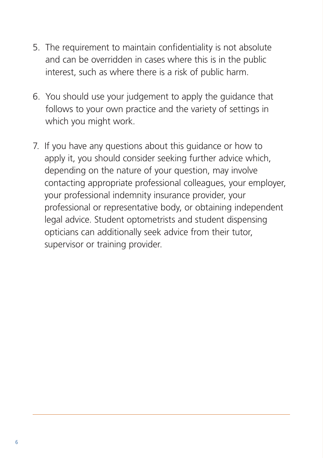- 5. The requirement to maintain confidentiality is not absolute and can be overridden in cases where this is in the public interest, such as where there is a risk of public harm.
- 6. You should use your judgement to apply the guidance that follows to your own practice and the variety of settings in which you might work.
- 7. If you have any questions about this guidance or how to apply it, you should consider seeking further advice which, depending on the nature of your question, may involve contacting appropriate professional colleagues, your employer, your professional indemnity insurance provider, your professional or representative body, or obtaining independent legal advice. Student optometrists and student dispensing opticians can additionally seek advice from their tutor, supervisor or training provider.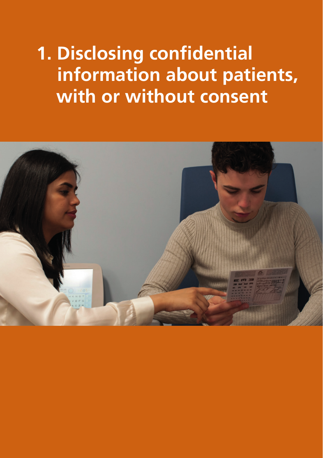**1. Disclosing confidential information about patients, with or without consent**

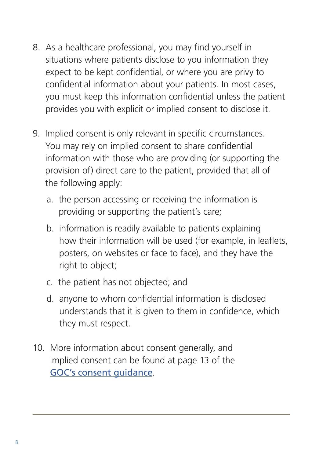- 8. As a healthcare professional, you may find yourself in situations where patients disclose to you information they expect to be kept confidential, or where you are privy to confidential information about your patients. In most cases, you must keep this information confidential unless the patient provides you with explicit or implied consent to disclose it.
- 9. Implied consent is only relevant in specific circumstances. You may rely on implied consent to share confidential information with those who are providing (or supporting the provision of) direct care to the patient, provided that all of the following apply:
	- a. the person accessing or receiving the information is providing or supporting the patient's care;
	- b. information is readily available to patients explaining how their information will be used (for example, in leaflets, posters, on websites or face to face), and they have the right to object;
	- c. the patient has not objected; and
	- d. anyone to whom confidential information is disclosed understands that it is given to them in confidence, which they must respect.
- 10. More information about consent generally, and implied consent can be found at page 13 of the GOC's consent quidance.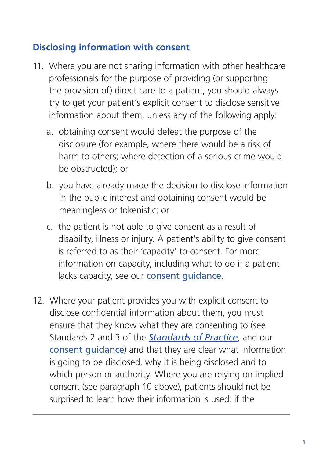### **Disclosing information with consent**

- 11. Where you are not sharing information with other healthcare professionals for the purpose of providing (or supporting the provision of) direct care to a patient, you should always try to get your patient's explicit consent to disclose sensitive information about them, unless any of the following apply:
	- a. obtaining consent would defeat the purpose of the disclosure (for example, where there would be a risk of harm to others; where detection of a serious crime would be obstructed); or
	- b. you have already made the decision to disclose information in the public interest and obtaining consent would be meaningless or tokenistic; or
	- c. the patient is not able to give consent as a result of disability, illness or injury. A patient's ability to give consent is referred to as their 'capacity' to consent. For more information on capacity, including what to do if a patient lacks capacity, see our [consent guidance](https://standards.optical.org/supporting-guidance/consent/  ).
- 12. Where your patient provides you with explicit consent to disclose confidential information about them, you must ensure that they know what they are consenting to (see Standards 2 and 3 of the *[Standards of Practice](https://standards.optical.org/areas/practice)*, and our [consent guidance](https://standards.optical.org/supporting-guidance/consent/  )) and that they are clear what information is going to be disclosed, why it is being disclosed and to which person or authority. Where you are relying on implied consent (see paragraph 10 above), patients should not be surprised to learn how their information is used; if the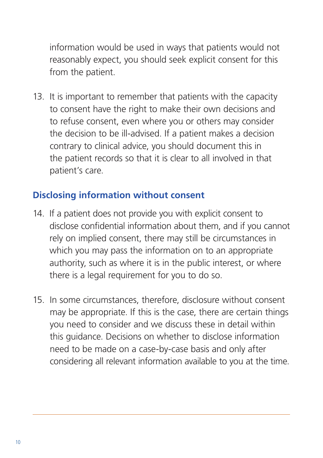information would be used in ways that patients would not reasonably expect, you should seek explicit consent for this from the patient.

13. It is important to remember that patients with the capacity to consent have the right to make their own decisions and to refuse consent, even where you or others may consider the decision to be ill-advised. If a patient makes a decision contrary to clinical advice, you should document this in the patient records so that it is clear to all involved in that patient's care.

### **Disclosing information without consent**

- 14. If a patient does not provide you with explicit consent to disclose confidential information about them, and if you cannot rely on implied consent, there may still be circumstances in which you may pass the information on to an appropriate authority, such as where it is in the public interest, or where there is a legal requirement for you to do so.
- 15. In some circumstances, therefore, disclosure without consent may be appropriate. If this is the case, there are certain things you need to consider and we discuss these in detail within this guidance. Decisions on whether to disclose information need to be made on a case-by-case basis and only after considering all relevant information available to you at the time.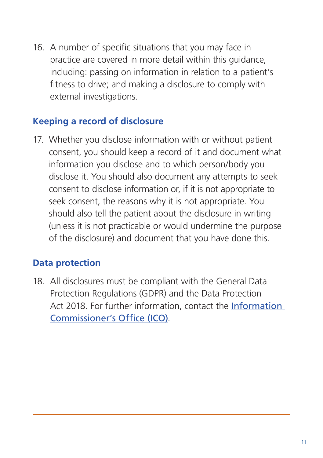16. A number of specific situations that you may face in practice are covered in more detail within this guidance, including: passing on information in relation to a patient's fitness to drive; and making a disclosure to comply with external investigations.

#### **Keeping a record of disclosure**

17. Whether you disclose information with or without patient consent, you should keep a record of it and document what information you disclose and to which person/body you disclose it. You should also document any attempts to seek consent to disclose information or, if it is not appropriate to seek consent, the reasons why it is not appropriate. You should also tell the patient about the disclosure in writing (unless it is not practicable or would undermine the purpose of the disclosure) and document that you have done this.

#### **Data protection**

18. All disclosures must be compliant with the General Data Protection Regulations (GDPR) and the Data Protection Act 2018. For further information, contact the [Information](https://ico.org.uk/)  [Commissioner's Office \(ICO\)](https://ico.org.uk/).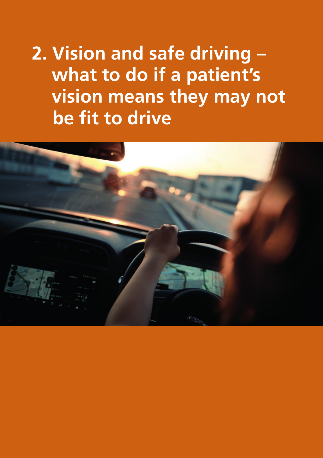**2. Vision and safe driving – what to do if a patient's vision means they may not be fit to drive**

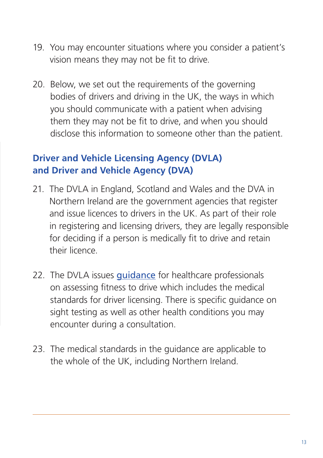- 19. You may encounter situations where you consider a patient's vision means they may not be fit to drive.
- 20. Below, we set out the requirements of the governing bodies of drivers and driving in the UK, the ways in which you should communicate with a patient when advising them they may not be fit to drive, and when you should disclose this information to someone other than the patient.

#### **Driver and Vehicle Licensing Agency (DVLA) and Driver and Vehicle Agency (DVA)**

- 21. The DVLA in England, Scotland and Wales and the DVA in Northern Ireland are the government agencies that register and issue licences to drivers in the UK. As part of their role in registering and licensing drivers, they are legally responsible for deciding if a person is medically fit to drive and retain their licence.
- 22. The DVLA issues quidance for healthcare professionals on assessing fitness to drive which includes the medical standards for driver licensing. There is specific guidance on sight testing as well as other health conditions you may encounter during a consultation.
- 23. The medical standards in the guidance are applicable to the whole of the UK, including Northern Ireland.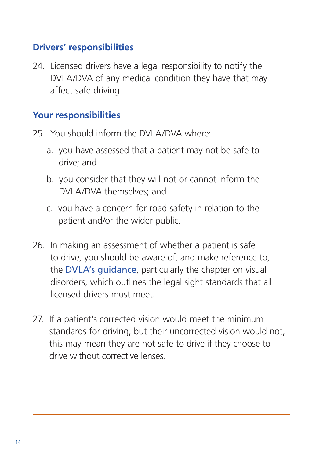#### **Drivers' responsibilities**

24. Licensed drivers have a legal responsibility to notify the DVLA/DVA of any medical condition they have that may affect safe driving.

#### **Your responsibilities**

- 25. You should inform the DVLA/DVA where:
	- a. you have assessed that a patient may not be safe to drive; and
	- b. you consider that they will not or cannot inform the DVLA/DVA themselves; and
	- c. you have a concern for road safety in relation to the patient and/or the wider public.
- 26. In making an assessment of whether a patient is safe to drive, you should be aware of, and make reference to, the **DVLA's quidance**, particularly the chapter on visual disorders, which outlines the legal sight standards that all licensed drivers must meet.
- 27. If a patient's corrected vision would meet the minimum standards for driving, but their uncorrected vision would not, this may mean they are not safe to drive if they choose to drive without corrective lenses.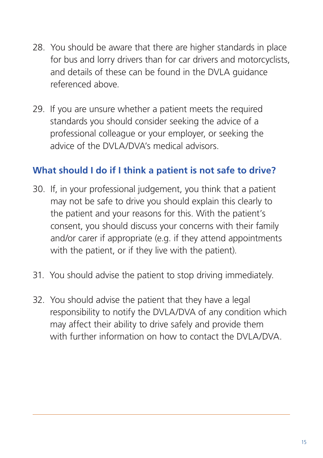- 28. You should be aware that there are higher standards in place for bus and lorry drivers than for car drivers and motorcyclists, and details of these can be found in the DVLA guidance referenced above.
- 29. If you are unsure whether a patient meets the required standards you should consider seeking the advice of a professional colleague or your employer, or seeking the advice of the DVLA/DVA's medical advisors.

#### **What should I do if I think a patient is not safe to drive?**

- 30. If, in your professional judgement, you think that a patient may not be safe to drive you should explain this clearly to the patient and your reasons for this. With the patient's consent, you should discuss your concerns with their family and/or carer if appropriate (e.g. if they attend appointments with the patient, or if they live with the patient).
- 31. You should advise the patient to stop driving immediately.
- 32. You should advise the patient that they have a legal responsibility to notify the DVLA/DVA of any condition which may affect their ability to drive safely and provide them with further information on how to contact the DVLA/DVA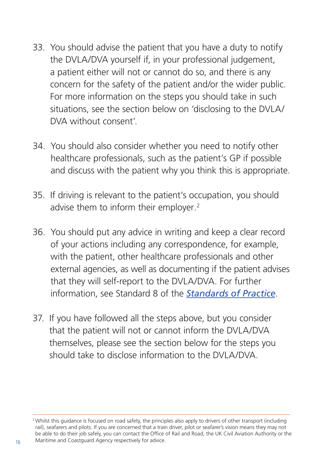- 33. You should advise the patient that you have a duty to notify the DVLA/DVA yourself if, in your professional judgement, a patient either will not or cannot do so, and there is any concern for the safety of the patient and/or the wider public. For more information on the steps you should take in such situations, see the section below on 'disclosing to the DVLA/ DVA without consent'.
- 34. You should also consider whether you need to notify other healthcare professionals, such as the patient's GP if possible and discuss with the patient why you think this is appropriate.
- 35. If driving is relevant to the patient's occupation, you should advise them to inform their employer.<sup>2</sup>
- 36. You should put any advice in writing and keep a clear record of your actions including any correspondence, for example, with the patient, other healthcare professionals and other external agencies, as well as documenting if the patient advises that they will self-report to the DVLA/DVA. For further information, see Standard 8 of the *[Standards of Practice](https://standards.optical.org/areas/practice)*.
- 37. If you have followed all the steps above, but you consider that the patient will not or cannot inform the DVLA/DVA themselves, please see the section below for the steps you should take to disclose information to the DVLA/DVA.

<sup>&</sup>lt;sup>2</sup> Whilst this quidance is focused on road safety, the principles also apply to drivers of other transport (including rail), seafarers and pilots. If you are concerned that a train driver, pilot or seafarer's vision means they may not be able to do their job safely, you can contact the Office of Rail and Road, the UK Civil Aviation Authority or the 16 Maritime and Coastguard Agency respectively for advice.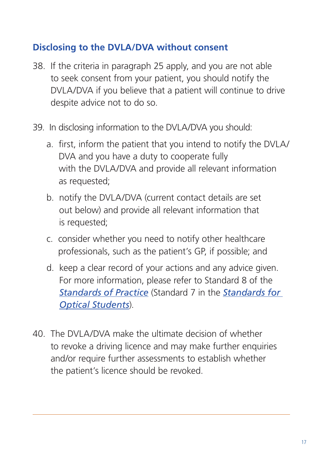#### **Disclosing to the DVLA/DVA without consent**

- 38. If the criteria in paragraph 25 apply, and you are not able to seek consent from your patient, you should notify the DVLA/DVA if you believe that a patient will continue to drive despite advice not to do so.
- 39. In disclosing information to the DVLA/DVA you should:
	- a. first, inform the patient that you intend to notify the DVLA/ DVA and you have a duty to cooperate fully with the DVLA/DVA and provide all relevant information as requested;
	- b. notify the DVLA/DVA (current contact details are set out below) and provide all relevant information that is requested;
	- c. consider whether you need to notify other healthcare professionals, such as the patient's GP, if possible; and
	- d. keep a clear record of your actions and any advice given. For more information, please refer to Standard 8 of the *[Standards of Practice](https://standards.optical.org/areas/practice)* (Standard 7 in the *[Standards for](https://standards.optical.org/areas/students/)  [Optical Students](https://standards.optical.org/areas/students/)*).
- 40. The DVLA/DVA make the ultimate decision of whether to revoke a driving licence and may make further enquiries and/or require further assessments to establish whether the patient's licence should be revoked.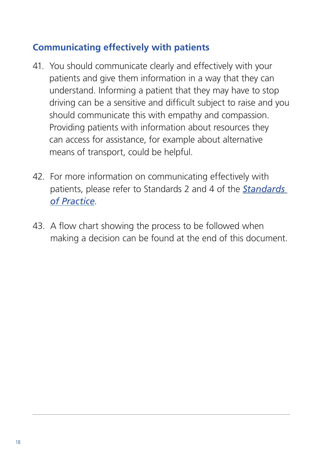### **Communicating effectively with patients**

- 41. You should communicate clearly and effectively with your patients and give them information in a way that they can understand. Informing a patient that they may have to stop driving can be a sensitive and difficult subject to raise and you should communicate this with empathy and compassion. Providing patients with information about resources they can access for assistance, for example about alternative means of transport, could be helpful.
- 42. For more information on communicating effectively with patients, please refer to Standards 2 and 4 of the *[Standards](https://standards.optical.org/areas/practice/)  [of Practice](https://standards.optical.org/areas/practice/)*.
- 43. A flow chart showing the process to be followed when making a decision can be found at the end of this document.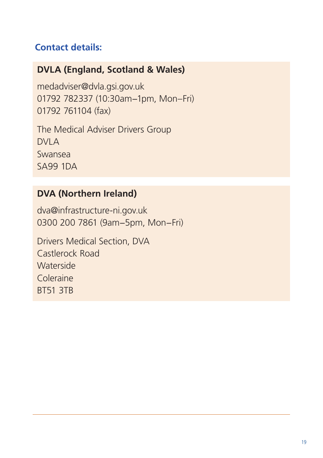### **Contact details:**

#### **DVLA (England, Scotland & Wales)**

medadviser@dvla.gsi.gov.uk 01792 782337 (10:30am−1pm, Mon–Fri) 01792 761104 (fax)

The Medical Adviser Drivers Group DVI A Swansea SA99 1DA

### **DVA (Northern Ireland)**

dva@infrastructure-ni.gov.uk 0300 200 7861 (9am−5pm, Mon−Fri)

Drivers Medical Section, DVA Castlerock Road Waterside Coleraine BT51 3TB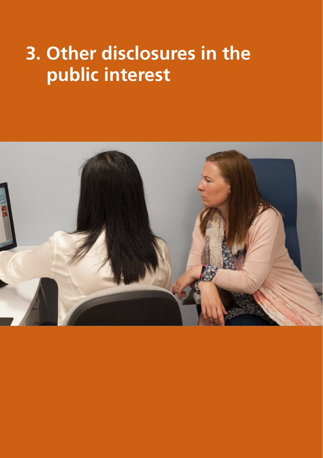# **3. Other disclosures in the public interest**

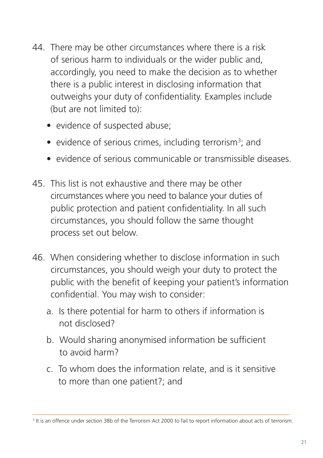- 44. There may be other circumstances where there is a risk of serious harm to individuals or the wider public and, accordingly, you need to make the decision as to whether there is a public interest in disclosing information that outweighs your duty of confidentiality. Examples include (but are not limited to):
	- evidence of suspected abuse;
	- evidence of serious crimes, including terrorism<sup>3</sup>; and
	- evidence of serious communicable or transmissible diseases.
- 45. This list is not exhaustive and there may be other circumstances where you need to balance your duties of public protection and patient confidentiality. In all such circumstances, you should follow the same thought process set out below.
- 46. When considering whether to disclose information in such circumstances, you should weigh your duty to protect the public with the benefit of keeping your patient's information confidential. You may wish to consider:
	- a. Is there potential for harm to others if information is not disclosed?
	- b. Would sharing anonymised information be sufficient to avoid harm?
	- c. To whom does the information relate, and is it sensitive to more than one patient?; and

<sup>&</sup>lt;sup>3</sup> It is an offence under section 38b of the Terrorism Act 2000 to fail to report information about acts of terrorism.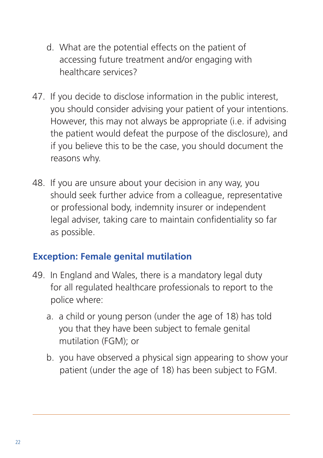- d. What are the potential effects on the patient of accessing future treatment and/or engaging with healthcare services?
- 47. If you decide to disclose information in the public interest, you should consider advising your patient of your intentions. However, this may not always be appropriate (i.e. if advising the patient would defeat the purpose of the disclosure), and if you believe this to be the case, you should document the reasons why.
- 48. If you are unsure about your decision in any way, you should seek further advice from a colleague, representative or professional body, indemnity insurer or independent legal adviser, taking care to maintain confidentiality so far as possible.

#### **Exception: Female genital mutilation**

- 49. In England and Wales, there is a mandatory legal duty for all regulated healthcare professionals to report to the police where:
	- a. a child or young person (under the age of 18) has told you that they have been subject to female genital mutilation (FGM); or
	- b. you have observed a physical sign appearing to show your patient (under the age of 18) has been subject to FGM.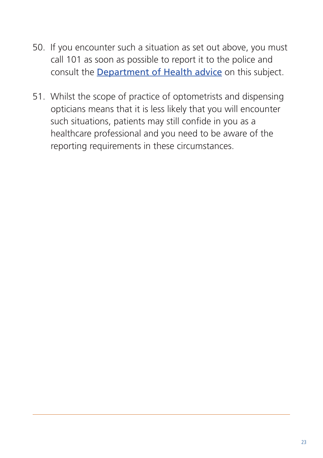- 50. If you encounter such a situation as set out above, you must call 101 as soon as possible to report it to the police and consult the [Department of Health advice](https://www.gov.uk/government/publications/fgm-mandatory-reporting-in-healthcare) on this subject.
- 51. Whilst the scope of practice of optometrists and dispensing opticians means that it is less likely that you will encounter such situations, patients may still confide in you as a healthcare professional and you need to be aware of the reporting requirements in these circumstances.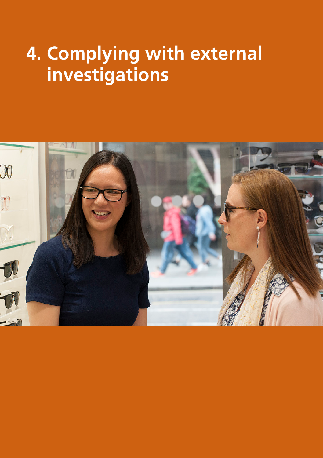# **4. Complying with external investigations**

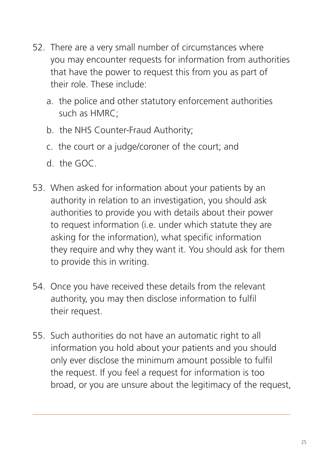- 52. There are a very small number of circumstances where you may encounter requests for information from authorities that have the power to request this from you as part of their role. These include:
	- a. the police and other statutory enforcement authorities such as HMRC;
	- b. the NHS Counter-Fraud Authority;
	- c. the court or a judge/coroner of the court; and
	- d. the GOC.
- 53. When asked for information about your patients by an authority in relation to an investigation, you should ask authorities to provide you with details about their power to request information (i.e. under which statute they are asking for the information), what specific information they require and why they want it. You should ask for them to provide this in writing.
- 54. Once you have received these details from the relevant authority, you may then disclose information to fulfil their request.
- 55. Such authorities do not have an automatic right to all information you hold about your patients and you should only ever disclose the minimum amount possible to fulfil the request. If you feel a request for information is too broad, or you are unsure about the legitimacy of the request,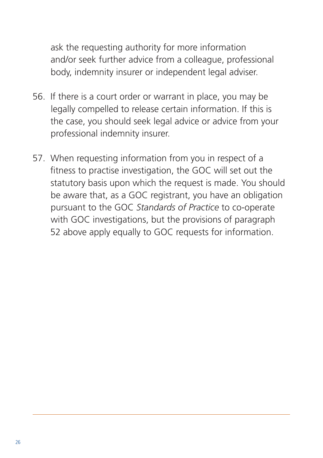ask the requesting authority for more information and/or seek further advice from a colleague, professional body, indemnity insurer or independent legal adviser.

- 56. If there is a court order or warrant in place, you may be legally compelled to release certain information. If this is the case, you should seek legal advice or advice from your professional indemnity insurer.
- 57. When requesting information from you in respect of a fitness to practise investigation, the GOC will set out the statutory basis upon which the request is made. You should be aware that, as a GOC registrant, you have an obligation pursuant to the GOC *Standards of Practice* to co-operate with GOC investigations, but the provisions of paragraph 52 above apply equally to GOC requests for information.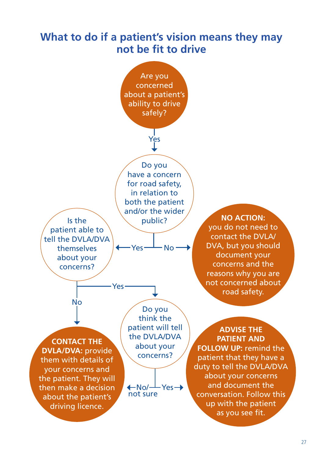### **What to do if a patient's vision means they may not be fit to drive**